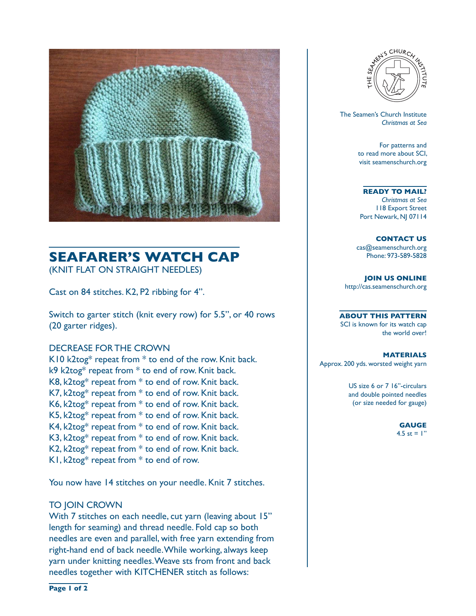

## **SEAFARER'S WATCH CAP**  (KNIT FLAT ON STRAIGHT NEEDLES)

Cast on 84 stitches. K2, P2 ribbing for 4".

Switch to garter stitch (knit every row) for 5.5", or 40 rows (20 garter ridges).

#### DECREASE FOR THE CROWN

K10 k2tog\* repeat from \* to end of the row. Knit back. k9 k2tog\* repeat from \* to end of row. Knit back. K8, k2tog\* repeat from \* to end of row. Knit back. K7, k2tog\* repeat from \* to end of row. Knit back. K6, k2tog\* repeat from \* to end of row. Knit back. K5, k2tog\* repeat from \* to end of row. Knit back. K4, k2tog\* repeat from \* to end of row. Knit back. K3, k2tog\* repeat from \* to end of row. Knit back. K2, k2tog\* repeat from \* to end of row. Knit back.  $K1$ , k2tog\* repeat from  $*$  to end of row.

You now have 14 stitches on your needle. Knit 7 stitches.

#### TO JOIN CROWN

With 7 stitches on each needle, cut yarn (leaving about 15" length for seaming) and thread needle. Fold cap so both needles are even and parallel, with free yarn extending from right-hand end of back needle. While working, always keep yarn under knitting needles. Weave sts from front and back needles together with KITCHENER stitch as follows:



 The Seamen's Church Institute *Christmas at Sea*

> For patterns and to read more about SCI, visit seamenschurch.org

#### **READY TO MAIL?**

*Christmas at Sea* 118 Export Street Port Newark, NJ 07114

**CONTACT US** cas@seamenschurch.org Phone: 973-589-5828

**JOIN US ONLINE**  http://cas.seamenschurch.org

**ABOUT THIS PATTERN** SCI is known for its watch cap the world over!

**MATERIALS** Approx. 200 yds. worsted weight yarn

> US size 6 or 7 16"-circulars and double pointed needles (or size needed for gauge)

> > **GAUGE** 4.5 st =  $1"$